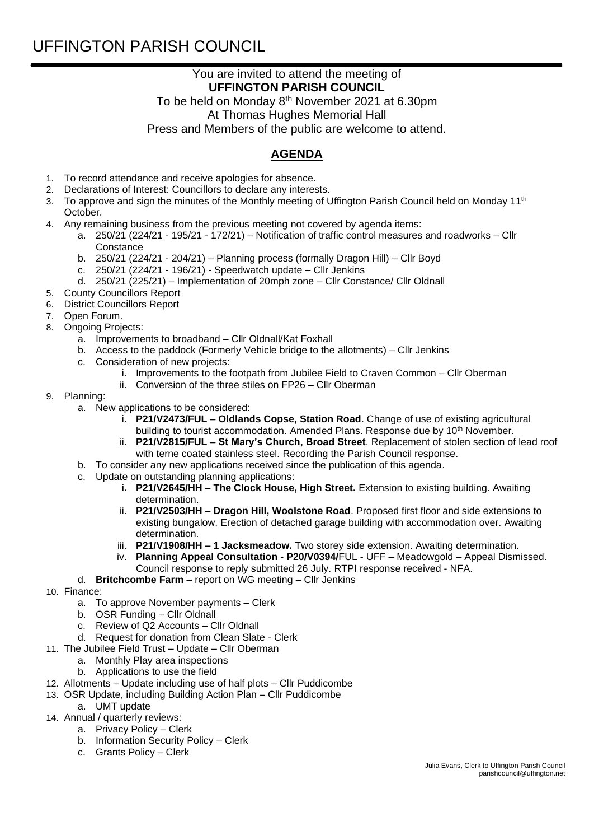## UFFINGTON PARISH COUNCIL

## You are invited to attend the meeting of **UFFINGTON PARISH COUNCIL**

To be held on Monday 8<sup>th</sup> November 2021 at 6.30pm At Thomas Hughes Memorial Hall Press and Members of the public are welcome to attend.

## **AGENDA**

- 1. To record attendance and receive apologies for absence.
- 2. Declarations of Interest: Councillors to declare any interests.
- 3. To approve and sign the minutes of the Monthly meeting of Uffington Parish Council held on Monday 11<sup>th</sup> October.
- 4. Any remaining business from the previous meeting not covered by agenda items:
	- a. 250/21 (224/21 195/21 172/21) Notification of traffic control measures and roadworks Cllr **Constance** 
		- b. 250/21 (224/21 204/21) Planning process (formally Dragon Hill) Cllr Boyd
		- c. 250/21 (224/21 196/21) Speedwatch update Cllr Jenkins
		- d. 250/21 (225/21) Implementation of 20mph zone Cllr Constance/ Cllr Oldnall
- 5. County Councillors Report
- 6. District Councillors Report
- 7. Open Forum.
- 8. Ongoing Projects:
	- a. Improvements to broadband Cllr Oldnall/Kat Foxhall
	- b. Access to the paddock (Formerly Vehicle bridge to the allotments) Cllr Jenkins
	- c. Consideration of new projects:
		- i. Improvements to the footpath from Jubilee Field to Craven Common Cllr Oberman
		- ii. Conversion of the three stiles on FP26 Cllr Oberman
- 9. Planning:
	- a. New applications to be considered:
		- i. **P21/V2473/FUL – Oldlands Copse, Station Road**. Change of use of existing agricultural building to tourist accommodation. Amended Plans. Response due by 10<sup>th</sup> November.
		- ii. **P21/V2815/FUL – St Mary's Church, Broad Street**. Replacement of stolen section of lead roof with terne coated stainless steel. Recording the Parish Council response.
	- b. To consider any new applications received since the publication of this agenda.
	- c. Update on outstanding planning applications:
		- **i. P21/V2645/HH – The Clock House, High Street.** Extension to existing building. Awaiting determination.
		- ii. **P21/V2503/HH Dragon Hill, Woolstone Road**. Proposed first floor and side extensions to existing bungalow. Erection of detached garage building with accommodation over. Awaiting determination.
		- iii. **P21/V1908/HH – 1 Jacksmeadow.** Two storey side extension. Awaiting determination.
		- iv. **Planning Appeal Consultation - P20/V0394/**FUL UFF Meadowgold Appeal Dismissed.
		- Council response to reply submitted 26 July. RTPI response received NFA.
	- d. **Britchcombe Farm**  report on WG meeting Cllr Jenkins
- 10. Finance:
	- a. To approve November payments Clerk
	- b. OSR Funding Cllr Oldnall
	- c. Review of Q2 Accounts Cllr Oldnall
	- d. Request for donation from Clean Slate Clerk
- 11. The Jubilee Field Trust Update Cllr Oberman
	- a. Monthly Play area inspections
		- b. Applications to use the field
- 12. Allotments Update including use of half plots Cllr Puddicombe
- 13. OSR Update, including Building Action Plan Cllr Puddicombe
	- a. UMT update
- 14. Annual / quarterly reviews:
	- a. Privacy Policy Clerk
		- b. Information Security Policy Clerk
		- c. Grants Policy Clerk